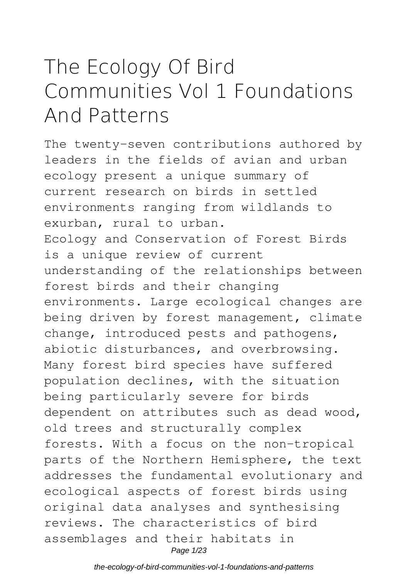# **The Ecology Of Bird Communities Vol 1 Foundations And Patterns**

The twenty-seven contributions authored by leaders in the fields of avian and urban ecology present a unique summary of current research on birds in settled environments ranging from wildlands to exurban, rural to urban. Ecology and Conservation of Forest Birds is a unique review of current understanding of the relationships between forest birds and their changing environments. Large ecological changes are being driven by forest management, climate change, introduced pests and pathogens, abiotic disturbances, and overbrowsing. Many forest bird species have suffered population declines, with the situation being particularly severe for birds dependent on attributes such as dead wood, old trees and structurally complex forests. With a focus on the non-tropical parts of the Northern Hemisphere, the text addresses the fundamental evolutionary and ecological aspects of forest birds using original data analyses and synthesising reviews. The characteristics of bird assemblages and their habitats in Page 1/23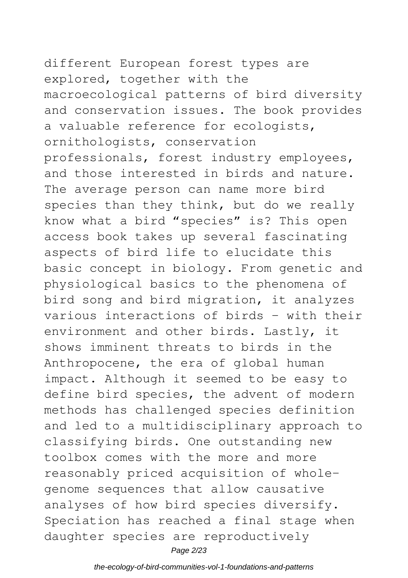different European forest types are explored, together with the macroecological patterns of bird diversity and conservation issues. The book provides a valuable reference for ecologists, ornithologists, conservation professionals, forest industry employees, and those interested in birds and nature. The average person can name more bird species than they think, but do we really know what a bird "species" is? This open access book takes up several fascinating aspects of bird life to elucidate this basic concept in biology. From genetic and physiological basics to the phenomena of bird song and bird migration, it analyzes various interactions of birds – with their environment and other birds. Lastly, it shows imminent threats to birds in the Anthropocene, the era of global human impact. Although it seemed to be easy to define bird species, the advent of modern methods has challenged species definition and led to a multidisciplinary approach to classifying birds. One outstanding new toolbox comes with the more and more reasonably priced acquisition of wholegenome sequences that allow causative analyses of how bird species diversify. Speciation has reached a final stage when daughter species are reproductively Page 2/23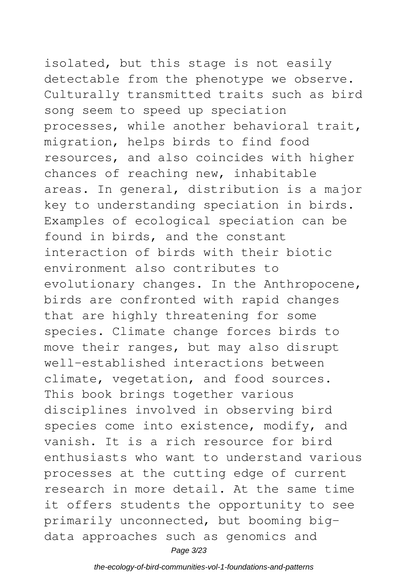## isolated, but this stage is not easily detectable from the phenotype we observe. Culturally transmitted traits such as bird song seem to speed up speciation processes, while another behavioral trait,

migration, helps birds to find food resources, and also coincides with higher chances of reaching new, inhabitable areas. In general, distribution is a major key to understanding speciation in birds. Examples of ecological speciation can be found in birds, and the constant interaction of birds with their biotic environment also contributes to evolutionary changes. In the Anthropocene, birds are confronted with rapid changes that are highly threatening for some species. Climate change forces birds to move their ranges, but may also disrupt well-established interactions between climate, vegetation, and food sources. This book brings together various disciplines involved in observing bird species come into existence, modify, and vanish. It is a rich resource for bird enthusiasts who want to understand various processes at the cutting edge of current research in more detail. At the same time it offers students the opportunity to see primarily unconnected, but booming bigdata approaches such as genomics and Page 3/23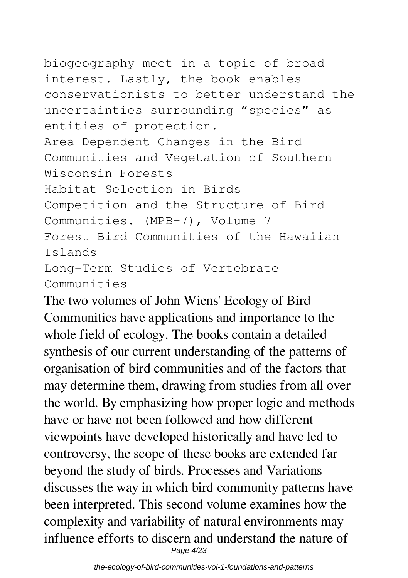biogeography meet in a topic of broad interest. Lastly, the book enables conservationists to better understand the uncertainties surrounding "species" as entities of protection. Area Dependent Changes in the Bird Communities and Vegetation of Southern Wisconsin Forests Habitat Selection in Birds Competition and the Structure of Bird Communities. (MPB-7), Volume 7 Forest Bird Communities of the Hawaiian Islands Long-Term Studies of Vertebrate Communities

The two volumes of John Wiens' Ecology of Bird Communities have applications and importance to the whole field of ecology. The books contain a detailed synthesis of our current understanding of the patterns of organisation of bird communities and of the factors that may determine them, drawing from studies from all over the world. By emphasizing how proper logic and methods have or have not been followed and how different viewpoints have developed historically and have led to controversy, the scope of these books are extended far beyond the study of birds. Processes and Variations discusses the way in which bird community patterns have been interpreted. This second volume examines how the complexity and variability of natural environments may influence efforts to discern and understand the nature of Page 4/23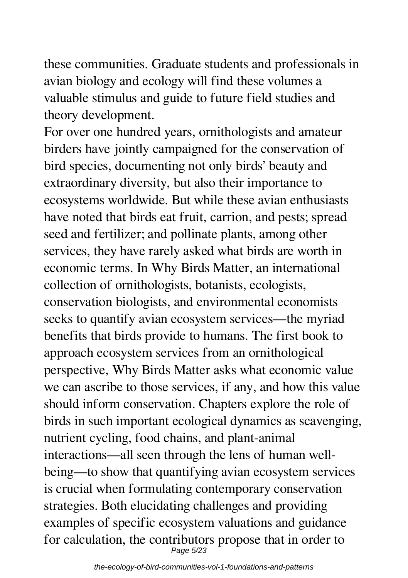these communities. Graduate students and professionals in avian biology and ecology will find these volumes a valuable stimulus and guide to future field studies and theory development.

For over one hundred years, ornithologists and amateur birders have jointly campaigned for the conservation of bird species, documenting not only birds' beauty and extraordinary diversity, but also their importance to ecosystems worldwide. But while these avian enthusiasts have noted that birds eat fruit, carrion, and pests; spread seed and fertilizer; and pollinate plants, among other services, they have rarely asked what birds are worth in economic terms. In Why Birds Matter, an international collection of ornithologists, botanists, ecologists, conservation biologists, and environmental economists seeks to quantify avian ecosystem services—the myriad benefits that birds provide to humans. The first book to approach ecosystem services from an ornithological perspective, Why Birds Matter asks what economic value we can ascribe to those services, if any, and how this value should inform conservation. Chapters explore the role of birds in such important ecological dynamics as scavenging, nutrient cycling, food chains, and plant-animal interactions—all seen through the lens of human wellbeing—to show that quantifying avian ecosystem services is crucial when formulating contemporary conservation strategies. Both elucidating challenges and providing examples of specific ecosystem valuations and guidance for calculation, the contributors propose that in order to Page 5/23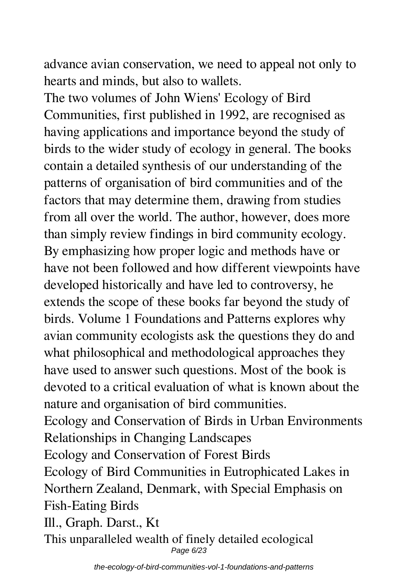advance avian conservation, we need to appeal not only to hearts and minds, but also to wallets.

The two volumes of John Wiens' Ecology of Bird Communities, first published in 1992, are recognised as having applications and importance beyond the study of birds to the wider study of ecology in general. The books contain a detailed synthesis of our understanding of the patterns of organisation of bird communities and of the factors that may determine them, drawing from studies from all over the world. The author, however, does more than simply review findings in bird community ecology. By emphasizing how proper logic and methods have or have not been followed and how different viewpoints have developed historically and have led to controversy, he extends the scope of these books far beyond the study of birds. Volume 1 Foundations and Patterns explores why avian community ecologists ask the questions they do and what philosophical and methodological approaches they have used to answer such questions. Most of the book is devoted to a critical evaluation of what is known about the nature and organisation of bird communities. Ecology and Conservation of Birds in Urban Environments Relationships in Changing Landscapes Ecology and Conservation of Forest Birds Ecology of Bird Communities in Eutrophicated Lakes in Northern Zealand, Denmark, with Special Emphasis on

Fish-Eating Birds

Ill., Graph. Darst., Kt This unparalleled wealth of finely detailed ecological Page 6/23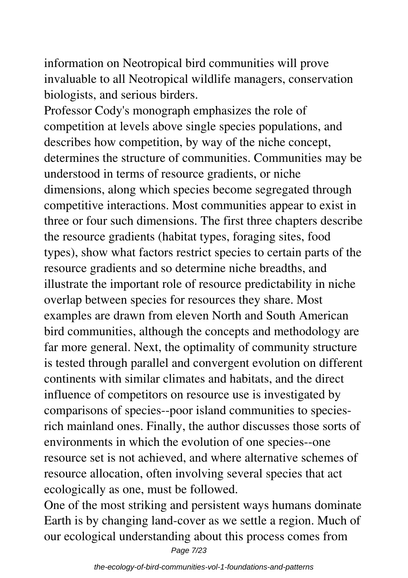information on Neotropical bird communities will prove invaluable to all Neotropical wildlife managers, conservation biologists, and serious birders.

Professor Cody's monograph emphasizes the role of competition at levels above single species populations, and describes how competition, by way of the niche concept, determines the structure of communities. Communities may be understood in terms of resource gradients, or niche dimensions, along which species become segregated through competitive interactions. Most communities appear to exist in three or four such dimensions. The first three chapters describe the resource gradients (habitat types, foraging sites, food types), show what factors restrict species to certain parts of the resource gradients and so determine niche breadths, and illustrate the important role of resource predictability in niche overlap between species for resources they share. Most examples are drawn from eleven North and South American bird communities, although the concepts and methodology are far more general. Next, the optimality of community structure is tested through parallel and convergent evolution on different continents with similar climates and habitats, and the direct influence of competitors on resource use is investigated by comparisons of species--poor island communities to speciesrich mainland ones. Finally, the author discusses those sorts of environments in which the evolution of one species--one resource set is not achieved, and where alternative schemes of resource allocation, often involving several species that act ecologically as one, must be followed.

One of the most striking and persistent ways humans dominate Earth is by changing land-cover as we settle a region. Much of our ecological understanding about this process comes from Page 7/23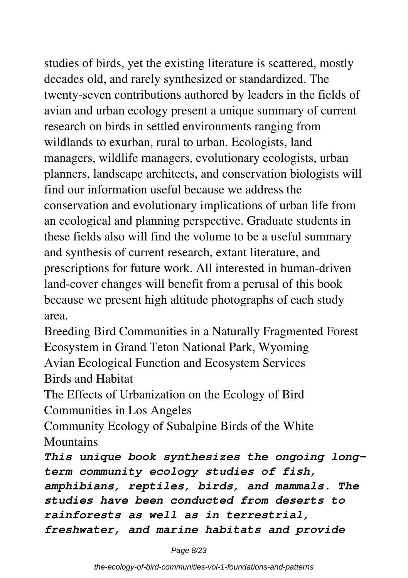studies of birds, yet the existing literature is scattered, mostly decades old, and rarely synthesized or standardized. The twenty-seven contributions authored by leaders in the fields of avian and urban ecology present a unique summary of current research on birds in settled environments ranging from wildlands to exurban, rural to urban. Ecologists, land managers, wildlife managers, evolutionary ecologists, urban planners, landscape architects, and conservation biologists will find our information useful because we address the conservation and evolutionary implications of urban life from an ecological and planning perspective. Graduate students in these fields also will find the volume to be a useful summary and synthesis of current research, extant literature, and prescriptions for future work. All interested in human-driven land-cover changes will benefit from a perusal of this book because we present high altitude photographs of each study area.

Breeding Bird Communities in a Naturally Fragmented Forest Ecosystem in Grand Teton National Park, Wyoming Avian Ecological Function and Ecosystem Services Birds and Habitat

The Effects of Urbanization on the Ecology of Bird Communities in Los Angeles

Community Ecology of Subalpine Birds of the White **Mountains** 

*This unique book synthesizes the ongoing longterm community ecology studies of fish, amphibians, reptiles, birds, and mammals. The studies have been conducted from deserts to rainforests as well as in terrestrial, freshwater, and marine habitats and provide*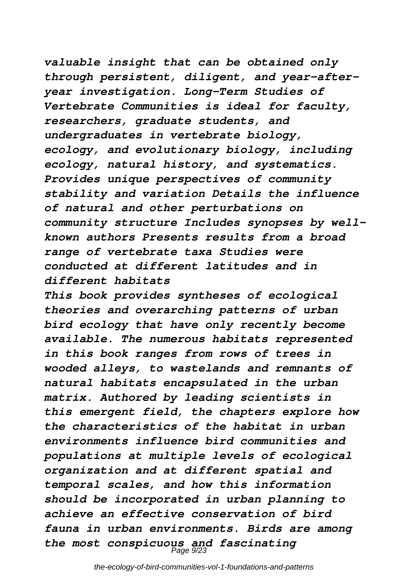*valuable insight that can be obtained only through persistent, diligent, and year-afteryear investigation. Long-Term Studies of Vertebrate Communities is ideal for faculty, researchers, graduate students, and undergraduates in vertebrate biology, ecology, and evolutionary biology, including ecology, natural history, and systematics. Provides unique perspectives of community stability and variation Details the influence of natural and other perturbations on community structure Includes synopses by wellknown authors Presents results from a broad range of vertebrate taxa Studies were conducted at different latitudes and in different habitats*

*This book provides syntheses of ecological theories and overarching patterns of urban bird ecology that have only recently become available. The numerous habitats represented in this book ranges from rows of trees in wooded alleys, to wastelands and remnants of natural habitats encapsulated in the urban matrix. Authored by leading scientists in this emergent field, the chapters explore how the characteristics of the habitat in urban environments influence bird communities and populations at multiple levels of ecological organization and at different spatial and temporal scales, and how this information should be incorporated in urban planning to achieve an effective conservation of bird fauna in urban environments. Birds are among the most conspicuous and fascinating* Page 9/23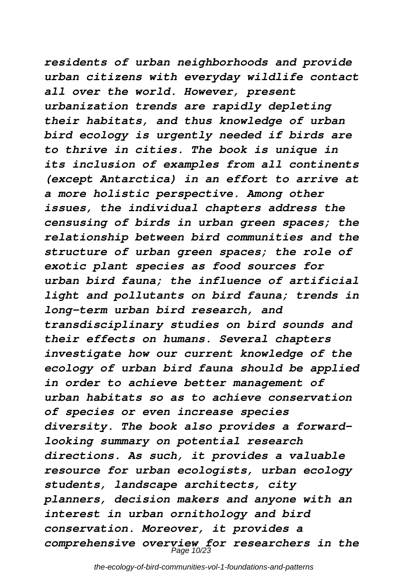*residents of urban neighborhoods and provide urban citizens with everyday wildlife contact all over the world. However, present urbanization trends are rapidly depleting their habitats, and thus knowledge of urban bird ecology is urgently needed if birds are to thrive in cities. The book is unique in its inclusion of examples from all continents (except Antarctica) in an effort to arrive at a more holistic perspective. Among other issues, the individual chapters address the censusing of birds in urban green spaces; the relationship between bird communities and the structure of urban green spaces; the role of exotic plant species as food sources for urban bird fauna; the influence of artificial light and pollutants on bird fauna; trends in long-term urban bird research, and transdisciplinary studies on bird sounds and their effects on humans. Several chapters investigate how our current knowledge of the ecology of urban bird fauna should be applied in order to achieve better management of urban habitats so as to achieve conservation of species or even increase species diversity. The book also provides a forwardlooking summary on potential research directions. As such, it provides a valuable resource for urban ecologists, urban ecology students, landscape architects, city planners, decision makers and anyone with an interest in urban ornithology and bird conservation. Moreover, it provides a comprehensive overview for researchers in the* Page 10/23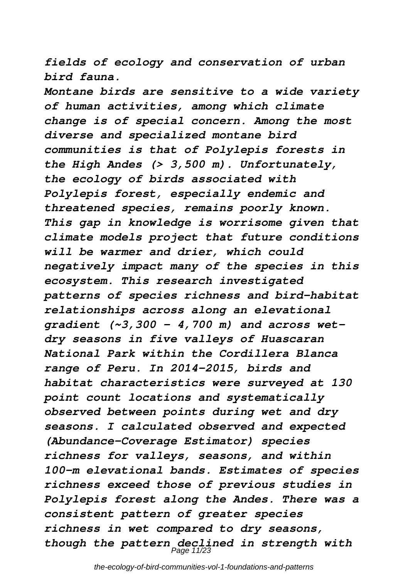*fields of ecology and conservation of urban bird fauna.*

*Montane birds are sensitive to a wide variety of human activities, among which climate change is of special concern. Among the most diverse and specialized montane bird communities is that of Polylepis forests in the High Andes (> 3,500 m). Unfortunately, the ecology of birds associated with Polylepis forest, especially endemic and threatened species, remains poorly known. This gap in knowledge is worrisome given that climate models project that future conditions will be warmer and drier, which could negatively impact many of the species in this ecosystem. This research investigated patterns of species richness and bird-habitat relationships across along an elevational gradient (~3,300 - 4,700 m) and across wetdry seasons in five valleys of Huascaran National Park within the Cordillera Blanca range of Peru. In 2014-2015, birds and habitat characteristics were surveyed at 130 point count locations and systematically observed between points during wet and dry seasons. I calculated observed and expected (Abundance-Coverage Estimator) species richness for valleys, seasons, and within 100-m elevational bands. Estimates of species richness exceed those of previous studies in Polylepis forest along the Andes. There was a consistent pattern of greater species richness in wet compared to dry seasons,* though the pattern declined in strength with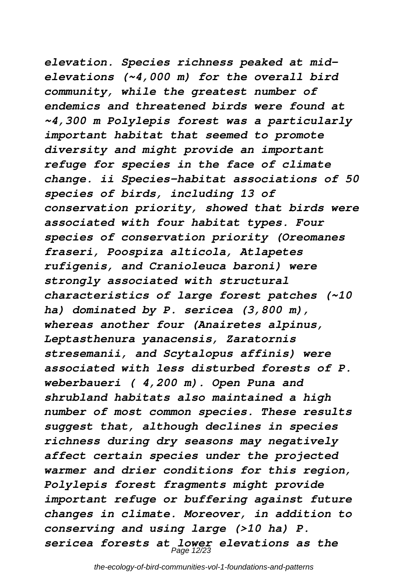*elevation. Species richness peaked at midelevations (~4,000 m) for the overall bird community, while the greatest number of endemics and threatened birds were found at ~4,300 m Polylepis forest was a particularly important habitat that seemed to promote diversity and might provide an important refuge for species in the face of climate change. ii Species-habitat associations of 50 species of birds, including 13 of conservation priority, showed that birds were associated with four habitat types. Four species of conservation priority (Oreomanes fraseri, Poospiza alticola, Atlapetes rufigenis, and Cranioleuca baroni) were strongly associated with structural characteristics of large forest patches (~10 ha) dominated by P. sericea (3,800 m), whereas another four (Anairetes alpinus, Leptasthenura yanacensis, Zaratornis stresemanii, and Scytalopus affinis) were associated with less disturbed forests of P. weberbaueri ( 4,200 m). Open Puna and shrubland habitats also maintained a high number of most common species. These results suggest that, although declines in species richness during dry seasons may negatively affect certain species under the projected warmer and drier conditions for this region, Polylepis forest fragments might provide important refuge or buffering against future changes in climate. Moreover, in addition to conserving and using large (>10 ha) P. sericea forests at lower elevations as the* Page 12/23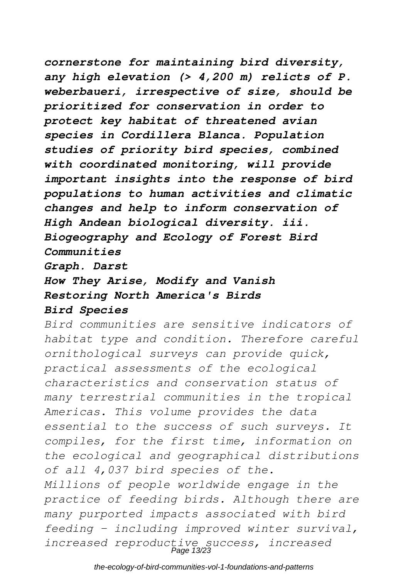### *cornerstone for maintaining bird diversity, any high elevation (> 4,200 m) relicts of P. weberbaueri, irrespective of size, should be prioritized for conservation in order to protect key habitat of threatened avian species in Cordillera Blanca. Population studies of priority bird species, combined with coordinated monitoring, will provide important insights into the response of bird populations to human activities and climatic changes and help to inform conservation of High Andean biological diversity. iii. Biogeography and Ecology of Forest Bird*

*Communities*

*Graph. Darst*

### *How They Arise, Modify and Vanish Restoring North America's Birds Bird Species*

*Bird communities are sensitive indicators of habitat type and condition. Therefore careful ornithological surveys can provide quick, practical assessments of the ecological characteristics and conservation status of many terrestrial communities in the tropical Americas. This volume provides the data essential to the success of such surveys. It compiles, for the first time, information on the ecological and geographical distributions of all 4,037 bird species of the. Millions of people worldwide engage in the practice of feeding birds. Although there are many purported impacts associated with bird feeding – including improved winter survival,*

*increased reproductive success, increased* Page 13/23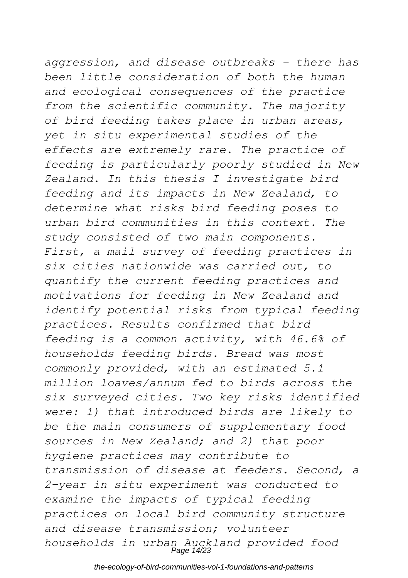# *aggression, and disease outbreaks – there has been little consideration of both the human*

*and ecological consequences of the practice from the scientific community. The majority of bird feeding takes place in urban areas, yet in situ experimental studies of the effects are extremely rare. The practice of feeding is particularly poorly studied in New Zealand. In this thesis I investigate bird feeding and its impacts in New Zealand, to determine what risks bird feeding poses to urban bird communities in this context. The study consisted of two main components. First, a mail survey of feeding practices in six cities nationwide was carried out, to quantify the current feeding practices and motivations for feeding in New Zealand and identify potential risks from typical feeding practices. Results confirmed that bird feeding is a common activity, with 46.6% of households feeding birds. Bread was most commonly provided, with an estimated 5.1 million loaves/annum fed to birds across the six surveyed cities. Two key risks identified were: 1) that introduced birds are likely to be the main consumers of supplementary food sources in New Zealand; and 2) that poor hygiene practices may contribute to transmission of disease at feeders. Second, a 2-year in situ experiment was conducted to examine the impacts of typical feeding practices on local bird community structure and disease transmission; volunteer households in urban Auckland provided food* Page 14/23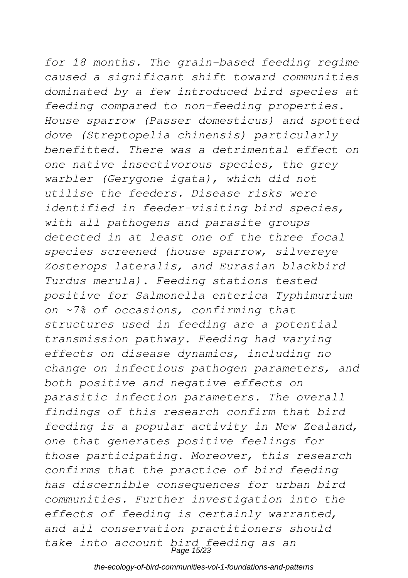*for 18 months. The grain-based feeding regime caused a significant shift toward communities dominated by a few introduced bird species at feeding compared to non-feeding properties. House sparrow (Passer domesticus) and spotted dove (Streptopelia chinensis) particularly benefitted. There was a detrimental effect on one native insectivorous species, the grey warbler (Gerygone igata), which did not utilise the feeders. Disease risks were identified in feeder-visiting bird species, with all pathogens and parasite groups detected in at least one of the three focal species screened (house sparrow, silvereye Zosterops lateralis, and Eurasian blackbird Turdus merula). Feeding stations tested positive for Salmonella enterica Typhimurium on ~7% of occasions, confirming that structures used in feeding are a potential transmission pathway. Feeding had varying effects on disease dynamics, including no change on infectious pathogen parameters, and both positive and negative effects on parasitic infection parameters. The overall findings of this research confirm that bird feeding is a popular activity in New Zealand, one that generates positive feelings for those participating. Moreover, this research confirms that the practice of bird feeding has discernible consequences for urban bird communities. Further investigation into the effects of feeding is certainly warranted, and all conservation practitioners should take into account bird feeding as an* Page 15/23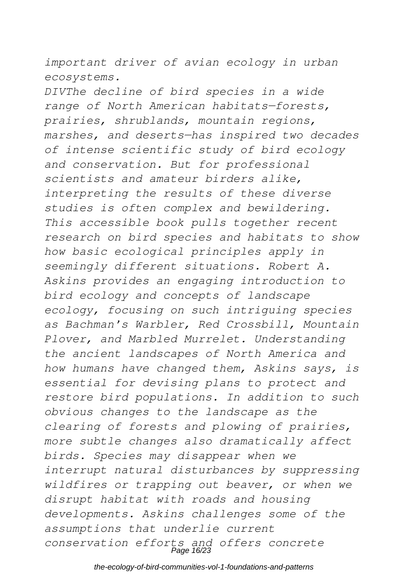*important driver of avian ecology in urban ecosystems.*

*DIVThe decline of bird species in a wide range of North American habitats—forests, prairies, shrublands, mountain regions, marshes, and deserts—has inspired two decades of intense scientific study of bird ecology and conservation. But for professional scientists and amateur birders alike, interpreting the results of these diverse studies is often complex and bewildering. This accessible book pulls together recent research on bird species and habitats to show how basic ecological principles apply in seemingly different situations. Robert A. Askins provides an engaging introduction to bird ecology and concepts of landscape ecology, focusing on such intriguing species as Bachman's Warbler, Red Crossbill, Mountain Plover, and Marbled Murrelet. Understanding the ancient landscapes of North America and how humans have changed them, Askins says, is essential for devising plans to protect and restore bird populations. In addition to such obvious changes to the landscape as the clearing of forests and plowing of prairies, more subtle changes also dramatically affect birds. Species may disappear when we interrupt natural disturbances by suppressing wildfires or trapping out beaver, or when we disrupt habitat with roads and housing developments. Askins challenges some of the assumptions that underlie current conservation efforts and offers concrete* Page 16/23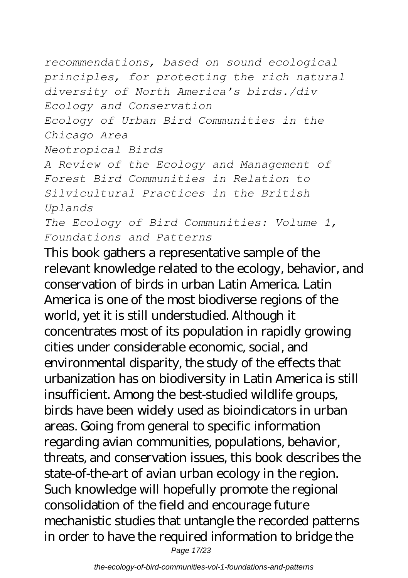*recommendations, based on sound ecological principles, for protecting the rich natural diversity of North America's birds./div Ecology and Conservation Ecology of Urban Bird Communities in the Chicago Area Neotropical Birds A Review of the Ecology and Management of Forest Bird Communities in Relation to Silvicultural Practices in the British Uplands The Ecology of Bird Communities: Volume 1, Foundations and Patterns*

This book gathers a representative sample of the relevant knowledge related to the ecology, behavior, and conservation of birds in urban Latin America. Latin America is one of the most biodiverse regions of the world, yet it is still understudied. Although it concentrates most of its population in rapidly growing cities under considerable economic, social, and environmental disparity, the study of the effects that urbanization has on biodiversity in Latin America is still insufficient. Among the best-studied wildlife groups, birds have been widely used as bioindicators in urban areas. Going from general to specific information regarding avian communities, populations, behavior, threats, and conservation issues, this book describes the state-of-the-art of avian urban ecology in the region. Such knowledge will hopefully promote the regional consolidation of the field and encourage future mechanistic studies that untangle the recorded patterns in order to have the required information to bridge the

Page 17/23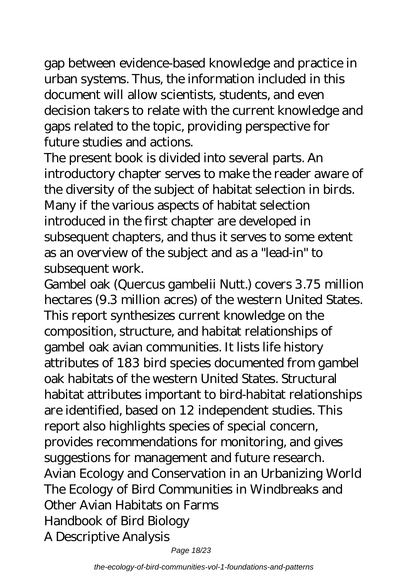gap between evidence-based knowledge and practice in urban systems. Thus, the information included in this document will allow scientists, students, and even decision takers to relate with the current knowledge and gaps related to the topic, providing perspective for future studies and actions.

The present book is divided into several parts. An introductory chapter serves to make the reader aware of the diversity of the subject of habitat selection in birds. Many if the various aspects of habitat selection introduced in the first chapter are developed in subsequent chapters, and thus it serves to some extent as an overview of the subject and as a "lead-in" to subsequent work.

Gambel oak (Quercus gambelii Nutt.) covers 3.75 million hectares (9.3 million acres) of the western United States. This report synthesizes current knowledge on the composition, structure, and habitat relationships of gambel oak avian communities. It lists life history attributes of 183 bird species documented from gambel oak habitats of the western United States. Structural habitat attributes important to bird-habitat relationships are identified, based on 12 independent studies. This report also highlights species of special concern, provides recommendations for monitoring, and gives suggestions for management and future research. Avian Ecology and Conservation in an Urbanizing World The Ecology of Bird Communities in Windbreaks and Other Avian Habitats on Farms Handbook of Bird Biology A Descriptive Analysis

Page 18/23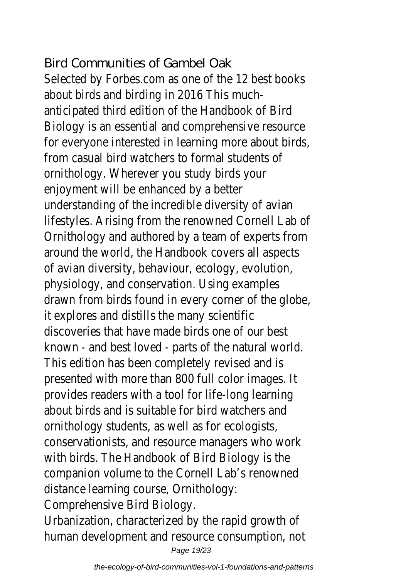### Bird Communities of Gambel Oak

Selected by Forbes.com as one of the 12 best books about birds and birding in 2016 This muchanticipated third edition of the Handbook of Bird Biology is an essential and comprehensive resourc for everyone interested in learning more about bir from casual bird watchers to formal students of ornithology. Wherever you study birds your enjoyment will be enhanced by a better understanding of the incredible diversity of avian lifestyles. Arising from the renowned Cornell Lab of Ornithology and authored by a team of experts fr around the world, the Handbook covers all aspect of avian diversity, behaviour, ecology, evolution, physiology, and conservation. Using examples drawn from birds found in every corner of the glo it explores and distills the many scientific discoveries that have made birds one of our best known - and best loved - parts of the natural wo This edition has been completely revised and is presented with more than 800 full color images. provides readers with a tool for life-long learning about birds and is suitable for bird watchers and ornithology students, as well as for ecologists, conservationists, and resource managers who wo with birds. The Handbook of Bird Biology is the companion volume to the Cornell Lab's renowned distance learning course, Ornithology: Comprehensive Bird Biology.

Urbanization, characterized by the rapid growth of human development and resource consumption, no Page 19/23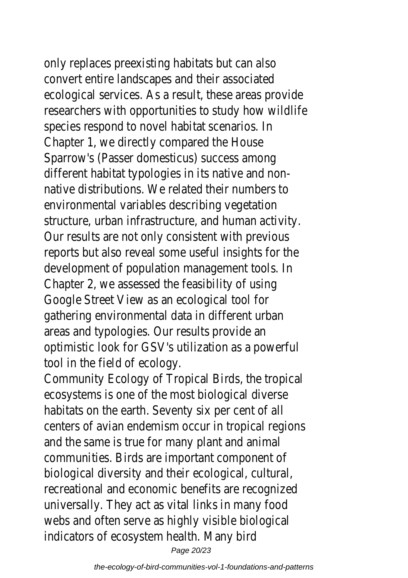only replaces preexisting habitats but can also convert entire landscapes and their associated ecological services. As a result, these areas provid researchers with opportunities to study how wild species respond to novel habitat scenarios. In Chapter 1, we directly compared the House Sparrow's (Passer domesticus) success among different habitat typologies in its native and nonnative distributions. We related their numbers to environmental variables describing vegetation structure, urban infrastructure, and human activit Our results are not only consistent with previous reports but also reveal some useful insights for the development of population management tools. In Chapter 2, we assessed the feasibility of using Google Street View as an ecological tool for gathering environmental data in different urban areas and typologies. Our results provide an optimistic look for GSV's utilization as a powerful tool in the field of ecology.

Community Ecology of Tropical Birds, the tropical ecosystems is one of the most biological diverse habitats on the earth. Seventy six per cent of all centers of avian endemism occur in tropical region and the same is true for many plant and animal communities. Birds are important component of biological diversity and their ecological, cultural, recreational and economic benefits are recognized universally. They act as vital links in many food webs and often serve as highly visible biological indicators of ecosystem health. Many bird Page 20/23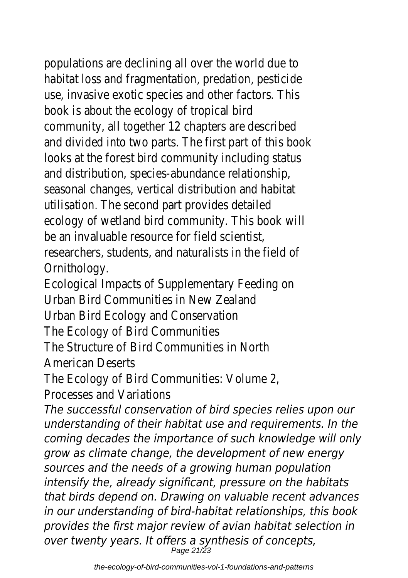populations are declining all over the world due to habitat loss and fragmentation, predation, pesticident use, invasive exotic species and other factors. Thi book is about the ecology of tropical bird community, all together 12 chapters are described and divided into two parts. The first part of this book looks at the forest bird community including state and distribution, species-abundance relationship, seasonal changes, vertical distribution and habitat utilisation. The second part provides detailed ecology of wetland bird community. This book will be an invaluable resource for field scientist, researchers, students, and naturalists in the field Ornithology.

Ecological Impacts of Supplementary Feeding on Urban Bird Communities in New Zealand Urban Bird Ecology and Conservation The Ecology of Bird Communities The Structure of Bird Communities in North

American Deserts

The Ecology of Bird Communities: Volume 2, Processes and Variations

*The successful conservation of bird species relies upon our understanding of their habitat use and requirements. In the coming decades the importance of such knowledge will only grow as climate change, the development of new energy sources and the needs of a growing human population intensify the, already significant, pressure on the habitats that birds depend on. Drawing on valuable recent advances in our understanding of bird-habitat relationships, this book provides the first major review of avian habitat selection in over twenty years. It offers a synthesis of concepts,* Page 21/23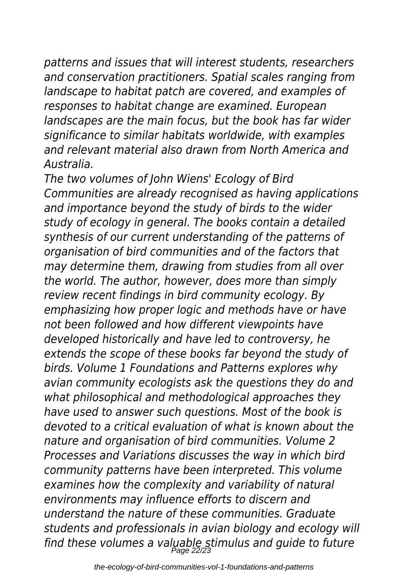*patterns and issues that will interest students, researchers and conservation practitioners. Spatial scales ranging from landscape to habitat patch are covered, and examples of responses to habitat change are examined. European landscapes are the main focus, but the book has far wider significance to similar habitats worldwide, with examples and relevant material also drawn from North America and Australia.*

*The two volumes of John Wiens' Ecology of Bird Communities are already recognised as having applications and importance beyond the study of birds to the wider study of ecology in general. The books contain a detailed synthesis of our current understanding of the patterns of organisation of bird communities and of the factors that may determine them, drawing from studies from all over the world. The author, however, does more than simply review recent findings in bird community ecology. By emphasizing how proper logic and methods have or have not been followed and how different viewpoints have developed historically and have led to controversy, he extends the scope of these books far beyond the study of birds. Volume 1 Foundations and Patterns explores why avian community ecologists ask the questions they do and what philosophical and methodological approaches they have used to answer such questions. Most of the book is devoted to a critical evaluation of what is known about the nature and organisation of bird communities. Volume 2 Processes and Variations discusses the way in which bird community patterns have been interpreted. This volume examines how the complexity and variability of natural environments may influence efforts to discern and understand the nature of these communities. Graduate students and professionals in avian biology and ecology will find these volumes a valuable stimulus and guide to future* Page 22/23